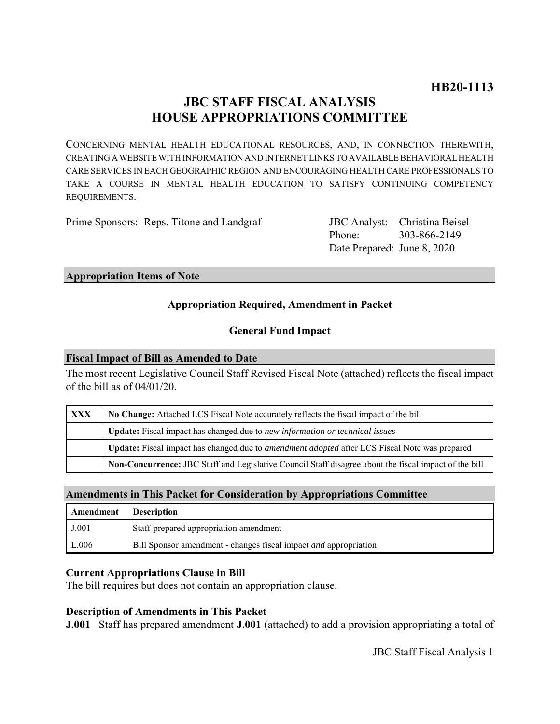# **JBC STAFF FISCAL ANALYSIS HOUSE APPROPRIATIONS COMMITTEE**

CONCERNING MENTAL HEALTH EDUCATIONAL RESOURCES, AND, IN CONNECTION THEREWITH, CREATING A WEBSITE WITH INFORMATION AND INTERNET LINKS TO AVAILABLE BEHAVIORAL HEALTH CARE SERVICES IN EACH GEOGRAPHIC REGION AND ENCOURAGING HEALTH CARE PROFESSIONALS TO TAKE A COURSE IN MENTAL HEALTH EDUCATION TO SATISFY CONTINUING COMPETENCY REQUIREMENTS.

Prime Sponsors: Reps. Titone and Landgraf

Phone: Date Prepared: June 8, 2020 JBC Analyst: Christina Beisel 303-866-2149

#### **Appropriation Items of Note**

# **Appropriation Required, Amendment in Packet**

### **General Fund Impact**

#### **Fiscal Impact of Bill as Amended to Date**

The most recent Legislative Council Staff Revised Fiscal Note (attached) reflects the fiscal impact of the bill as of 04/01/20.

| <b>XXX</b> | No Change: Attached LCS Fiscal Note accurately reflects the fiscal impact of the bill                 |
|------------|-------------------------------------------------------------------------------------------------------|
|            | <b>Update:</b> Fiscal impact has changed due to new information or technical issues                   |
|            | Update: Fiscal impact has changed due to <i>amendment adopted</i> after LCS Fiscal Note was prepared  |
|            | Non-Concurrence: JBC Staff and Legislative Council Staff disagree about the fiscal impact of the bill |

#### **Amendments in This Packet for Consideration by Appropriations Committee**

| Amendment | <b>Description</b>                                                      |
|-----------|-------------------------------------------------------------------------|
| J.001     | Staff-prepared appropriation amendment                                  |
| L.006     | Bill Sponsor amendment - changes fiscal impact <i>and</i> appropriation |

#### **Current Appropriations Clause in Bill**

The bill requires but does not contain an appropriation clause.

#### **Description of Amendments in This Packet**

**J.001** Staff has prepared amendment **J.001** (attached) to add a provision appropriating a total of